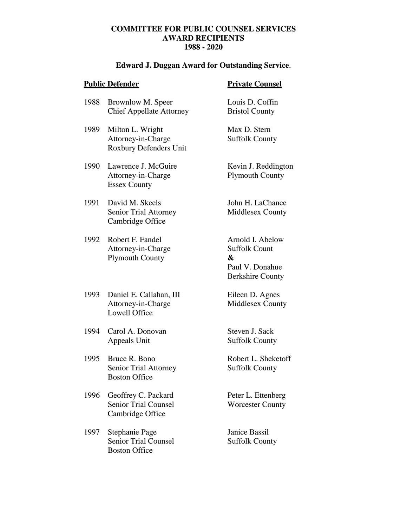# **COMMITTEE FOR PUBLIC COUNSEL SERVICES AWARD RECIPIENTS 1988 - 2020**

# **Edward J. Duggan Award for Outstanding Service**.

|      | <b>Public Defender</b>                                                  | <b>Private Counsel</b>                                                                      |
|------|-------------------------------------------------------------------------|---------------------------------------------------------------------------------------------|
| 1988 | Brownlow M. Speer<br><b>Chief Appellate Attorney</b>                    | Louis D. Coffin<br><b>Bristol County</b>                                                    |
| 1989 | Milton L. Wright<br>Attorney-in-Charge<br><b>Roxbury Defenders Unit</b> | Max D. Stern<br><b>Suffolk County</b>                                                       |
| 1990 | Lawrence J. McGuire<br>Attorney-in-Charge<br><b>Essex County</b>        | Kevin J. Reddington<br><b>Plymouth County</b>                                               |
| 1991 | David M. Skeels<br><b>Senior Trial Attorney</b><br>Cambridge Office     | John H. LaChance<br>Middlesex County                                                        |
| 1992 | Robert F. Fandel<br>Attorney-in-Charge<br><b>Plymouth County</b>        | Arnold I. Abelow<br><b>Suffolk Count</b><br>&<br>Paul V. Donahue<br><b>Berkshire County</b> |
| 1993 | Daniel E. Callahan, III<br>Attorney-in-Charge<br><b>Lowell Office</b>   | Eileen D. Agnes<br>Middlesex County                                                         |
| 1994 | Carol A. Donovan<br>Appeals Unit                                        | Steven J. Sack<br><b>Suffolk County</b>                                                     |
| 1995 | Bruce R. Bono<br><b>Senior Trial Attorney</b><br><b>Boston Office</b>   | Robert L. Sheketoff<br><b>Suffolk County</b>                                                |
| 1996 | Geoffrey C. Packard<br><b>Senior Trial Counsel</b><br>Cambridge Office  | Peter L. Ettenberg<br><b>Worcester County</b>                                               |
| 1997 | Stephanie Page<br><b>Senior Trial Counsel</b><br><b>Boston Office</b>   | <b>Janice Bassil</b><br><b>Suffolk County</b>                                               |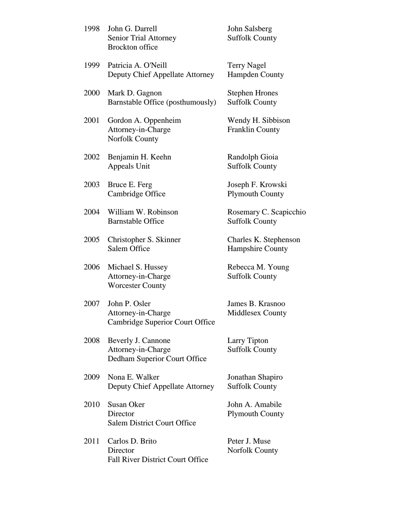| 1998 | John G. Darrell<br><b>Senior Trial Attorney</b><br><b>Brockton</b> office | John Salsberg<br><b>Suffolk County</b>          |
|------|---------------------------------------------------------------------------|-------------------------------------------------|
| 1999 | Patricia A. O'Neill<br>Deputy Chief Appellate Attorney                    | <b>Terry Nagel</b><br><b>Hampden County</b>     |
| 2000 | Mark D. Gagnon<br>Barnstable Office (posthumously)                        | <b>Stephen Hrones</b><br><b>Suffolk County</b>  |
| 2001 | Gordon A. Oppenheim<br>Attorney-in-Charge<br>Norfolk County               | Wendy H. Sibbison<br><b>Franklin County</b>     |
| 2002 | Benjamin H. Keehn<br>Appeals Unit                                         | Randolph Gioia<br><b>Suffolk County</b>         |
| 2003 | Bruce E. Ferg<br>Cambridge Office                                         | Joseph F. Krowski<br><b>Plymouth County</b>     |
| 2004 | William W. Robinson<br><b>Barnstable Office</b>                           | Rosemary C. Scapicchio<br><b>Suffolk County</b> |
| 2005 | Christopher S. Skinner<br>Salem Office                                    | Charles K. Stephenson<br>Hampshire County       |
| 2006 | Michael S. Hussey<br>Attorney-in-Charge<br><b>Worcester County</b>        | Rebecca M. Young<br><b>Suffolk County</b>       |
| 2007 | John P. Osler<br>Attorney-in-Charge<br>Cambridge Superior Court Office    | James B. Krasnoo<br><b>Middlesex County</b>     |
| 2008 | Beverly J. Cannone<br>Attorney-in-Charge<br>Dedham Superior Court Office  | Larry Tipton<br><b>Suffolk County</b>           |
| 2009 | Nona E. Walker<br>Deputy Chief Appellate Attorney                         | Jonathan Shapiro<br><b>Suffolk County</b>       |
| 2010 | Susan Oker<br>Director<br><b>Salem District Court Office</b>              | John A. Amabile<br><b>Plymouth County</b>       |
| 2011 | Carlos D. Brito<br>Director<br><b>Fall River District Court Office</b>    | Peter J. Muse<br><b>Norfolk County</b>          |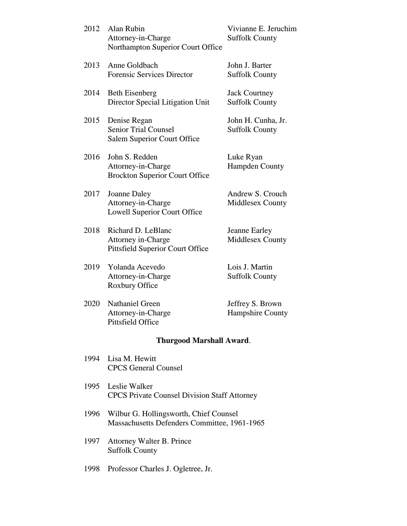| 2012 | Alan Rubin<br>Attorney-in-Charge<br>Northampton Superior Court Office                      | Vivianne E. Jeruchim<br><b>Suffolk County</b> |
|------|--------------------------------------------------------------------------------------------|-----------------------------------------------|
| 2013 | Anne Goldbach<br><b>Forensic Services Director</b>                                         | John J. Barter<br><b>Suffolk County</b>       |
| 2014 | <b>Beth Eisenberg</b><br>Director Special Litigation Unit                                  | <b>Jack Courtney</b><br><b>Suffolk County</b> |
| 2015 | Denise Regan<br><b>Senior Trial Counsel</b><br><b>Salem Superior Court Office</b>          | John H. Cunha, Jr.<br><b>Suffolk County</b>   |
| 2016 | John S. Redden<br>Attorney-in-Charge<br><b>Brockton Superior Court Office</b>              | Luke Ryan<br><b>Hampden County</b>            |
| 2017 | Joanne Daley<br>Attorney-in-Charge<br><b>Lowell Superior Court Office</b>                  | Andrew S. Crouch<br>Middlesex County          |
| 2018 | Richard D. LeBlanc<br><b>Attorney in-Charge</b><br><b>Pittsfield Superior Court Office</b> | Jeanne Earley<br>Middlesex County             |
| 2019 | Yolanda Acevedo<br>Attorney-in-Charge<br>Roxbury Office                                    | Lois J. Martin<br><b>Suffolk County</b>       |
| 2020 | <b>Nathaniel Green</b><br>Attorney-in-Charge<br>Pittsfield Office                          | Jeffrey S. Brown<br>Hampshire County          |
|      | <b>Thurgood Marshall Award.</b>                                                            |                                               |
| 1994 | Lisa M. Hewitt<br><b>CPCS</b> General Counsel                                              |                                               |
| 1995 | Leslie Walker<br><b>CPCS Private Counsel Division Staff Attorney</b>                       |                                               |
| 1996 | Wilbur G. Hollingsworth, Chief Counsel<br>Massachusetts Defenders Committee, 1961-1965     |                                               |

- 1997 Attorney Walter B. Prince Suffolk County
- 1998 Professor Charles J. Ogletree, Jr.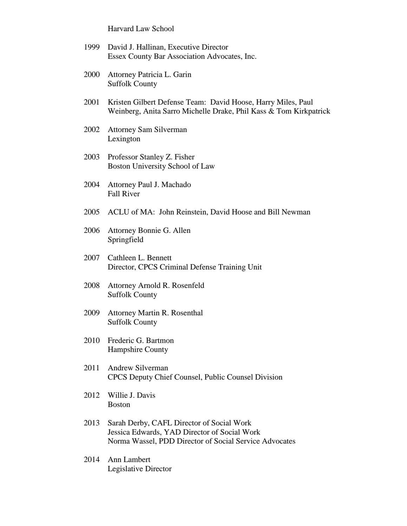Harvard Law School

- 1999 David J. Hallinan, Executive Director Essex County Bar Association Advocates, Inc.
- 2000 Attorney Patricia L. Garin Suffolk County
- 2001 Kristen Gilbert Defense Team: David Hoose, Harry Miles, Paul Weinberg, Anita Sarro Michelle Drake, Phil Kass & Tom Kirkpatrick
- 2002 Attorney Sam Silverman Lexington
- 2003 Professor Stanley Z. Fisher Boston University School of Law
- 2004 Attorney Paul J. Machado Fall River
- 2005 ACLU of MA: John Reinstein, David Hoose and Bill Newman
- 2006 Attorney Bonnie G. Allen Springfield
- 2007 Cathleen L. Bennett Director, CPCS Criminal Defense Training Unit
- 2008 Attorney Arnold R. Rosenfeld Suffolk County
- 2009 Attorney Martin R. Rosenthal Suffolk County
- 2010 Frederic G. Bartmon Hampshire County
- 2011 Andrew Silverman CPCS Deputy Chief Counsel, Public Counsel Division
- 2012 Willie J. Davis Boston
- 2013 Sarah Derby, CAFL Director of Social Work Jessica Edwards, YAD Director of Social Work Norma Wassel, PDD Director of Social Service Advocates
- 2014 Ann Lambert Legislative Director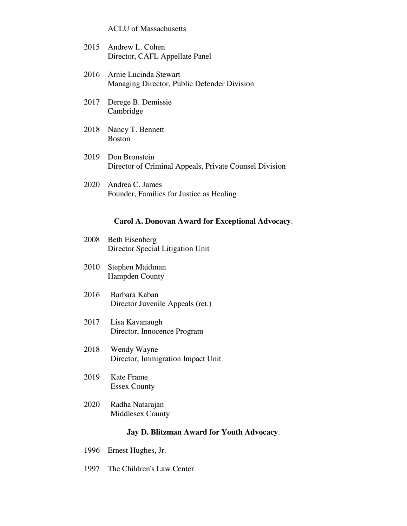ACLU of Massachusetts

- 2015 Andrew L. Cohen Director, CAFL Appellate Panel
- 2016 Arnie Lucinda Stewart Managing Director, Public Defender Division
- 2017 Derege B. Demissie Cambridge
- 2018 Nancy T. Bennett Boston
- 2019 Don Bronstein Director of Criminal Appeals, Private Counsel Division
- 2020 Andrea C. James Founder, Families for Justice as Healing

### **Carol A. Donovan Award for Exceptional Advocacy**.

- 2008 Beth Eisenberg Director Special Litigation Unit
- 2010 Stephen Maidman Hampden County
- 2016 Barbara Kaban Director Juvenile Appeals (ret.)
- 2017 Lisa Kavanaugh Director, Innocence Program
- 2018 Wendy Wayne Director, Immigration Impact Unit
- 2019 Kate Frame Essex County
- 2020 Radha Natarajan Middlesex County

#### **Jay D. Blitzman Award for Youth Advocacy**.

- 1996 Ernest Hughes, Jr.
- 1997 The Children's Law Center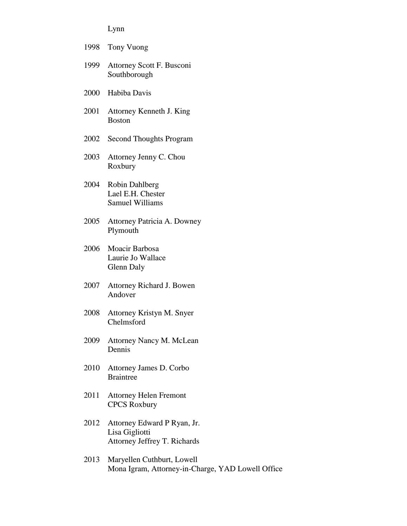Lynn

|      | 1998 Tony Vuong                                                                 |
|------|---------------------------------------------------------------------------------|
| 1999 | Attorney Scott F. Busconi<br>Southborough                                       |
|      | 2000 Habiba Davis                                                               |
| 2001 | Attorney Kenneth J. King<br><b>Boston</b>                                       |
| 2002 | <b>Second Thoughts Program</b>                                                  |
| 2003 | Attorney Jenny C. Chou<br>Roxbury                                               |
| 2004 | Robin Dahlberg<br>Lael E.H. Chester<br><b>Samuel Williams</b>                   |
| 2005 | Attorney Patricia A. Downey<br>Plymouth                                         |
| 2006 | Moacir Barbosa<br>Laurie Jo Wallace<br>Glenn Daly                               |
| 2007 | Attorney Richard J. Bowen<br>Andover                                            |
| 2008 | Attorney Kristyn M. Snyer<br>Chelmsford                                         |
| 2009 | Attorney Nancy M. McLean<br>Dennis                                              |
| 2010 | Attorney James D. Corbo<br><b>Braintree</b>                                     |
| 2011 | <b>Attorney Helen Fremont</b><br><b>CPCS Roxbury</b>                            |
| 2012 | Attorney Edward P Ryan, Jr.<br>Lisa Gigliotti<br>Attorney Jeffrey T. Richards   |
| 2013 | Maryellen Cuthburt, Lowell<br>Mona Igram, Attorney-in-Charge, YAD Lowell Office |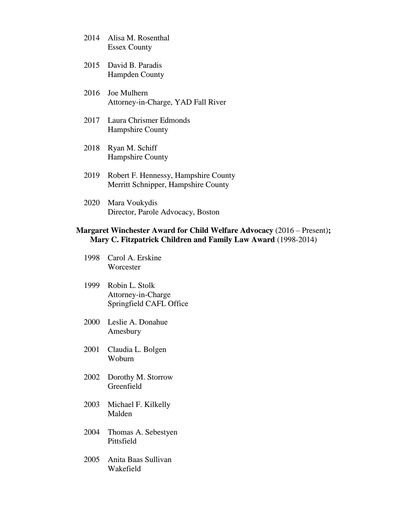- 2014 Alisa M. Rosenthal Essex County
- 2015 David B. Paradis Hampden County
- 2016 Joe Mulhern Attorney-in-Charge, YAD Fall River
- 2017 Laura Chrismer Edmonds Hampshire County
- 2018 Ryan M. Schiff Hampshire County
- 2019 Robert F. Hennessy, Hampshire County Merritt Schnipper, Hampshire County
- 2020 Mara Voukydis Director, Parole Advocacy, Boston

## **Margaret Winchester Award for Child Welfare Advocacy** (2016 – Present)**; Mary C. Fitzpatrick Children and Family Law Award** (1998-2014)

- 1998 Carol A. Erskine **Worcester**
- 1999 Robin L. Stolk Attorney-in-Charge Springfield CAFL Office
- 2000 Leslie A. Donahue Amesbury
- 2001 Claudia L. Bolgen Woburn
- 2002 Dorothy M. Storrow **Greenfield**
- 2003 Michael F. Kilkelly Malden
- 2004 Thomas A. Sebestyen Pittsfield
- 2005 Anita Baas Sullivan Wakefield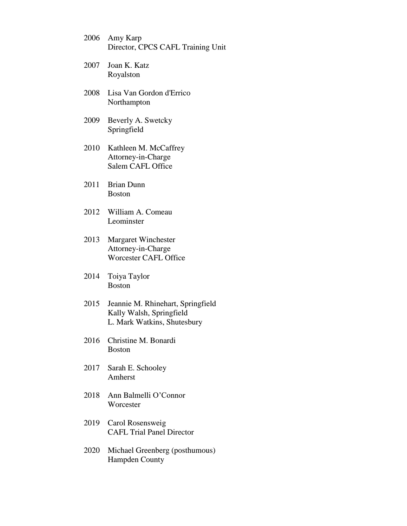- 2006 Amy Karp Director, CPCS CAFL Training Unit
- 2007 Joan K. Katz Royalston
- 2008 Lisa Van Gordon d'Errico Northampton
- 2009 Beverly A. Swetcky Springfield
- 2010 Kathleen M. McCaffrey Attorney-in-Charge Salem CAFL Office
- 2011 Brian Dunn Boston
- 2012 William A. Comeau Leominster
- 2013 Margaret Winchester Attorney-in-Charge Worcester CAFL Office
- 2014 Toiya Taylor Boston
- 2015 Jeannie M. Rhinehart, Springfield Kally Walsh, Springfield L. Mark Watkins, Shutesbury
- 2016 Christine M. Bonardi Boston
- 2017 Sarah E. Schooley Amherst
- 2018 Ann Balmelli O'Connor **Worcester**
- 2019 Carol Rosensweig CAFL Trial Panel Director
- 2020 Michael Greenberg (posthumous) Hampden County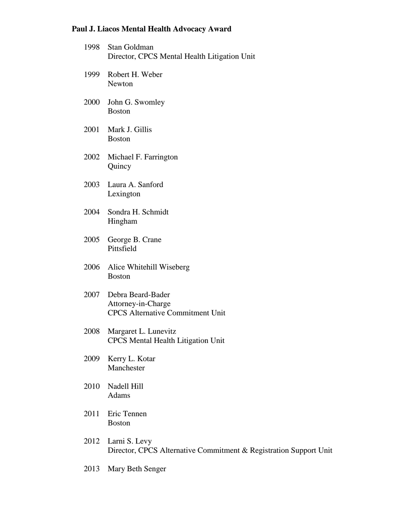# **Paul J. Liacos Mental Health Advocacy Award**

| 1998 | Stan Goldman<br>Director, CPCS Mental Health Litigation Unit                       |
|------|------------------------------------------------------------------------------------|
|      | 1999 Robert H. Weber<br>Newton                                                     |
| 2000 | John G. Swomley<br><b>Boston</b>                                                   |
| 2001 | Mark J. Gillis<br><b>Boston</b>                                                    |
| 2002 | Michael F. Farrington<br>Quincy                                                    |
|      | 2003 Laura A. Sanford<br>Lexington                                                 |
|      | 2004 Sondra H. Schmidt<br>Hingham                                                  |
| 2005 | George B. Crane<br>Pittsfield                                                      |
|      | 2006 Alice Whitehill Wiseberg<br><b>Boston</b>                                     |
| 2007 | Debra Beard-Bader<br>Attorney-in-Charge<br><b>CPCS</b> Alternative Commitment Unit |
| 2008 | Margaret L. Lunevitz<br><b>CPCS Mental Health Litigation Unit</b>                  |
| 2009 | Kerry L. Kotar<br>Manchester                                                       |
| 2010 | Nadell Hill<br>Adams                                                               |
| 2011 | Eric Tennen<br><b>Boston</b>                                                       |
| 2012 | Larni S. Levy<br>Director, CPCS Alternative Commitment & Registration Support Unit |
| 2013 | Mary Beth Senger                                                                   |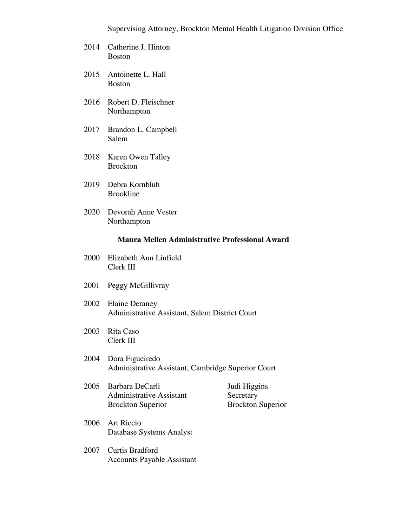- 2014 Catherine J. Hinton Boston
- 2015 Antoinette L. Hall Boston
- 2016 Robert D. Fleischner Northampton
- 2017 Brandon L. Campbell Salem
- 2018 Karen Owen Talley Brockton
- 2019 Debra Kornbluh Brookline
- 2020 Devorah Anne Vester Northampton

### **Maura Mellen Administrative Professional Award**

- 2000 Elizabeth Ann Linfield Clerk III
- 2001 Peggy McGillivray
- 2002 Elaine Deraney Administrative Assistant, Salem District Court
- 2003 Rita Caso Clerk III
- 2004 Dora Figueiredo Administrative Assistant, Cambridge Superior Court
- 2005 Barbara DeCarli Judi Higgins Administrative Assistant Secretary Brockton Superior Brockton Superior

- 2006 Art Riccio Database Systems Analyst
- 2007 Curtis Bradford Accounts Payable Assistant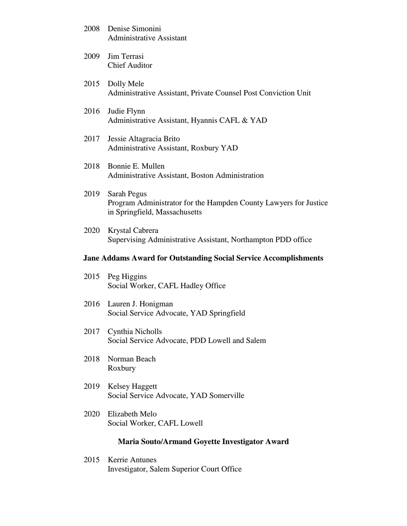| 2008 Denise Simonini     |  |
|--------------------------|--|
| Administrative Assistant |  |

- 2009 Jim Terrasi Chief Auditor
- 2015 Dolly Mele Administrative Assistant, Private Counsel Post Conviction Unit
- 2016 Judie Flynn Administrative Assistant, Hyannis CAFL & YAD
- 2017 Jessie Altagracia Brito Administrative Assistant, Roxbury YAD
- 2018 Bonnie E. Mullen Administrative Assistant, Boston Administration
- 2019 Sarah Pegus Program Administrator for the Hampden County Lawyers for Justice in Springfield, Massachusetts
- 2020 Krystal Cabrera Supervising Administrative Assistant, Northampton PDD office

### **Jane Addams Award for Outstanding Social Service Accomplishments**

- 2015 Peg Higgins Social Worker, CAFL Hadley Office
- 2016 Lauren J. Honigman Social Service Advocate, YAD Springfield
- 2017 Cynthia Nicholls Social Service Advocate, PDD Lowell and Salem
- 2018 Norman Beach Roxbury
- 2019 Kelsey Haggett Social Service Advocate, YAD Somerville
- 2020 Elizabeth Melo Social Worker, CAFL Lowell

## **Maria Souto/Armand Goyette Investigator Award**

2015 Kerrie Antunes Investigator, Salem Superior Court Office